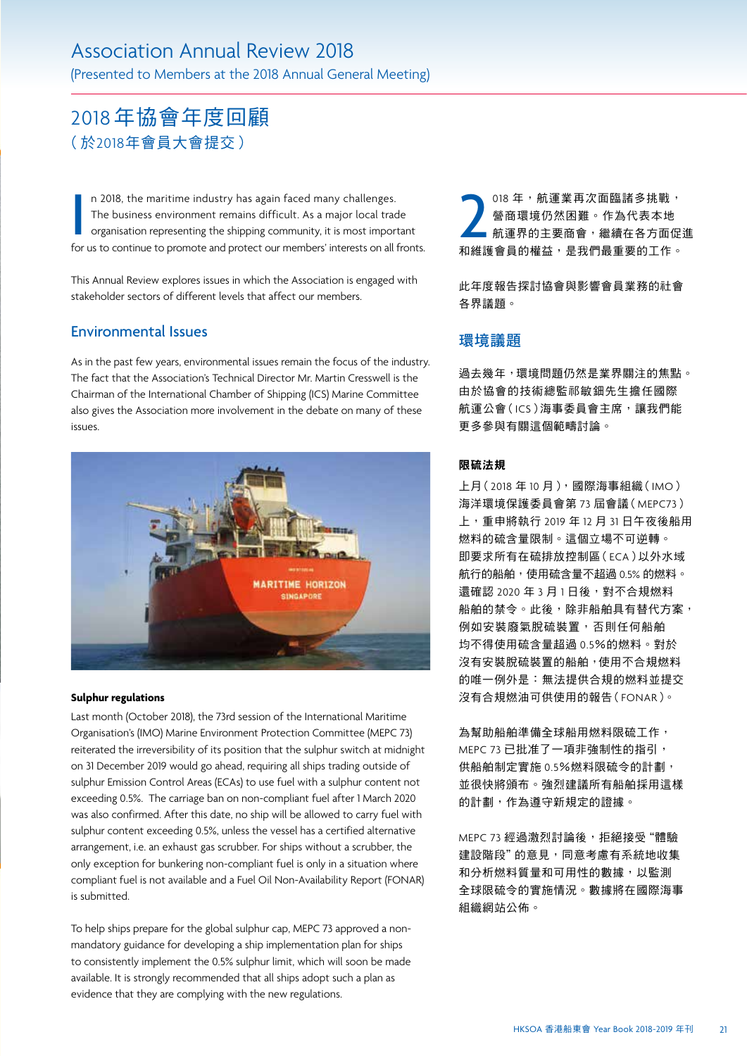# 2018年協會年度回顧 (於2018年會員大會提交)

n 2018, the maritime industry has again faced many challenges. The business environment remains difficult. As a major local trade organisation representing the shipping community, it is most important for us to continue to promote and protect our members' interests on all fronts.

This Annual Review explores issues in which the Association is engaged with stakeholder sectors of different levels that affect our members.

### Environmental Issues

As in the past few years, environmental issues remain the focus of the industry. The fact that the Association's Technical Director Mr. Martin Cresswell is the Chairman of the International Chamber of Shipping (ICS) Marine Committee also gives the Association more involvement in the debate on many of these issues.



### **Sulphur regulations**

Last month (October 2018), the 73rd session of the International Maritime Organisation's (IMO) Marine Environment Protection Committee (MEPC 73) reiterated the irreversibility of its position that the sulphur switch at midnight on 31 December 2019 would go ahead, requiring all ships trading outside of sulphur Emission Control Areas (ECAs) to use fuel with a sulphur content not exceeding 0.5%. The carriage ban on non-compliant fuel after 1 March 2020 was also confirmed. After this date, no ship will be allowed to carry fuel with sulphur content exceeding 0.5%, unless the vessel has a certified alternative arrangement, i.e. an exhaust gas scrubber. For ships without a scrubber, the only exception for bunkering non-compliant fuel is only in a situation where compliant fuel is not available and a Fuel Oil Non-Availability Report (FONAR) is submitted.

To help ships prepare for the global sulphur cap, MEPC 73 approved a nonmandatory guidance for developing a ship implementation plan for ships to consistently implement the 0.5% sulphur limit, which will soon be made available. It is strongly recommended that all ships adopt such a plan as evidence that they are complying with the new regulations.

18年,航運業再次面臨諸多挑戰,<br>營商環境仍然困難。作為代表本地<br>航運界的主要商會,繼續在各方面促<br>和維護會員的權益,是我們最重要的工作。 018 年,航運業再次面臨諸多挑戰, 營商環境仍然困難。作為代表本地 航運界的主要商會,繼續在各方面促進

此年度報告探討協會與影響會員業務的社會 各界議題。

### 環境議題

過去幾年,環境問題仍然是業界關注的焦點。 由於協會的技術總監祁敏鈿先生擔任國際 航運公會(ICS)海事委員會主席,讓我們能 更多參與有關這個範疇討論。

### 限硫法規

上月(2018年10月),國際海事組織(IMO) 海洋環境保護委員會第 73 屆會議(MEPC73) 上,重申將執行 2019 年 12 月 31 日午夜後船用 燃料的硫含量限制。這個立場不可逆轉。 即要求所有在硫排放控制區(ECA)以外水域 航行的船舶,使用硫含量不超過 0.5% 的燃料。 還確認 2020 年 3 月 1 日後, 對不合規燃料 船舶的禁令。此後,除非船舶具有替代方案, 例如安裝廢氣脫硫裝置,否則任何船舶 均不得使用硫含量超過 0.5%的燃料。對於 沒有安裝脫硫裝置的船舶,使用不合規燃料 的唯一例外是:無法提供合規的燃料並提交 沒有合規燃油可供使用的報告(FONAR)。

為幫助船舶準備全球船用燃料限硫工作, MEPC 73 已批准了一項非強制性的指引, 供船舶制定實施 0.5%燃料限硫今的計劃, 並很快將頒布。強烈建議所有船舶採用這樣 的計劃,作為遵守新規定的證據。

MEPC 73 經過激烈討論後,拒絕接受"體驗 建設階段"的意見,同意考慮有系統地收集 和分析燃料質量和可用性的數據,以監測 全球限硫令的實施情況。數據將在國際海事 組織網站公佈。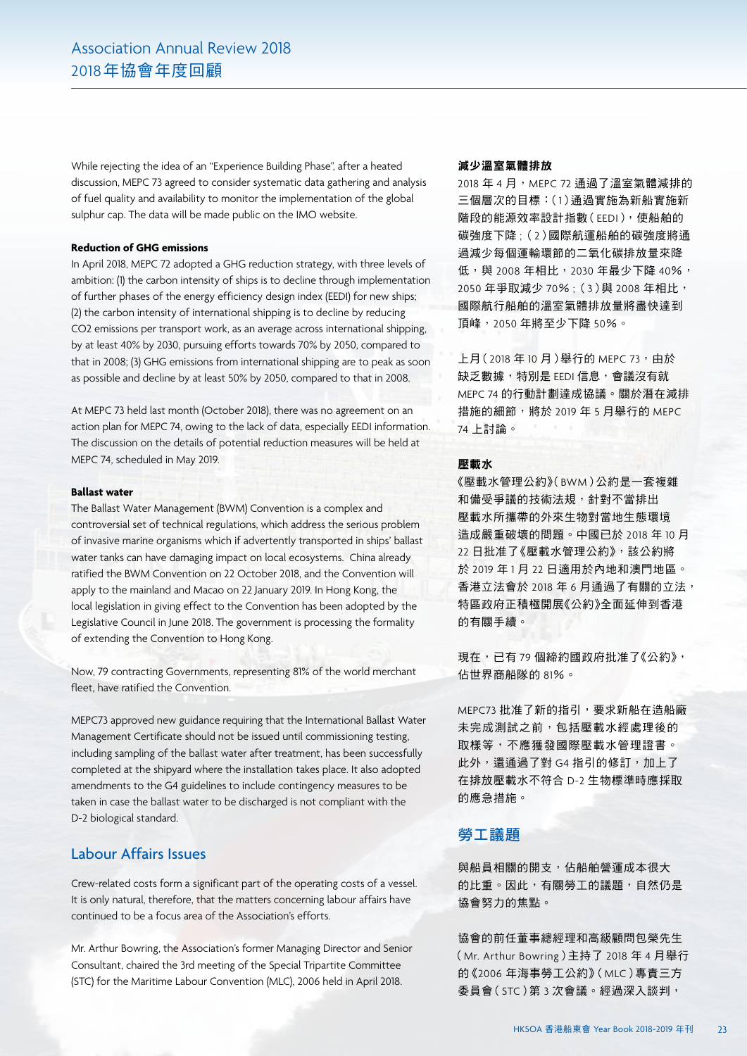While rejecting the idea of an "Experience Building Phase", after a heated discussion, MEPC 73 agreed to consider systematic data gathering and analysis of fuel quality and availability to monitor the implementation of the global sulphur cap. The data will be made public on the IMO website.

### **Reduction of GHG emissions**

In April 2018, MEPC 72 adopted a GHG reduction strategy, with three levels of ambition: (1) the carbon intensity of ships is to decline through implementation of further phases of the energy efficiency design index (EEDI) for new ships; (2) the carbon intensity of international shipping is to decline by reducing CO2 emissions per transport work, as an average across international shipping, by at least 40% by 2030, pursuing efforts towards 70% by 2050, compared to that in 2008; (3) GHG emissions from international shipping are to peak as soon as possible and decline by at least 50% by 2050, compared to that in 2008.

At MEPC 73 held last month (October 2018), there was no agreement on an action plan for MEPC 74, owing to the lack of data, especially EEDI information. The discussion on the details of potential reduction measures will be held at MEPC 74, scheduled in May 2019.

### **Ballast water**

The Ballast Water Management (BWM) Convention is a complex and controversial set of technical regulations, which address the serious problem of invasive marine organisms which if advertently transported in ships' ballast water tanks can have damaging impact on local ecosystems. China already ratified the BWM Convention on 22 October 2018, and the Convention will apply to the mainland and Macao on 22 January 2019. In Hong Kong, the local legislation in giving effect to the Convention has been adopted by the Legislative Council in June 2018. The government is processing the formality of extending the Convention to Hong Kong.

Now, 79 contracting Governments, representing 81% of the world merchant fleet, have ratified the Convention.

MEPC73 approved new guidance requiring that the International Ballast Water Management Certificate should not be issued until commissioning testing, including sampling of the ballast water after treatment, has been successfully completed at the shipyard where the installation takes place. It also adopted amendments to the G4 guidelines to include contingency measures to be taken in case the ballast water to be discharged is not compliant with the D-2 biological standard.

### Labour Affairs Issues

Crew-related costs form a significant part of the operating costs of a vessel. It is only natural, therefore, that the matters concerning labour affairs have continued to be a focus area of the Association's efforts.

Mr. Arthur Bowring, the Association's former Managing Director and Senior Consultant, chaired the 3rd meeting of the Special Tripartite Committee (STC) for the Maritime Labour Convention (MLC), 2006 held in April 2018.

#### 減少溫室氣體排放

2018年4月, MEPC 72 通過了溫室氣體減排的 三個層次的目標:(1)通過實施為新船實施新 階段的能源效率設計指數(EEDI),使船舶的 碳強度下降 ;(2)國際航運船舶的碳強度將通 過減少每個運輸環節的二氧化碳排放量來降 低,與 2008 年相比, 2030 年最少下降 40%, 2050 年爭取減少 70% ;(3)與 2008 年相比, 國際航行船舶的溫室氣體排放量將盡快達到 頂峰,2050 年將至少下降 50%。

上月 $(2018 \n 410 \n 6)$ 舉行的 MEPC 73, 由於 缺乏數據,特別是 EEDI 信息,會議沒有就 MEPC 74 的行動計劃達成協議。關於潛在減排 措施的細節,將於 2019 年 5 月舉行的 MEPC 74 上討論。

#### 壓載水

《壓載水管理公約》(BWM)公約是一套複雜 和備受爭議的技術法規,針對不當排出 壓載水所攜帶的外來生物對當地生態環境 造成嚴重破壞的問題。中國已於 2018 年 10 月 22 日批准了《壓載水管理公約》,該公約將 於 2019 年 1 月 22 日適用於內地和澳門地區。 香港立法會於 2018 年 6 月通過了有關的立法, 特區政府正積極開展《公約》全面延伸到香港 的有關手續。

現在,已有 79 個締約國政府批准了《公約》, 佔世界商船隊的 81%。

MEPC73 批准了新的指引,要求新船在造船廠 未完成測試之前,包括壓載水經處理後的 取樣等,不應獲發國際壓載水管理證書。 此外,還涌過了對 G4 指引的修訂,加上了 在排放壓載水不符合 D-2 生物標準時應採取 的應急措施。

### 勞工議題

與船員相關的開支,佔船舶營運成本很大 的比重。因此,有關勞工的議題,自然仍是 協會努力的焦點。

協會的前任董事總經理和高級顧問包榮先生 (Mr. Arthur Bowring)主持了 2018 年 4 月舉行 的《2006 年海事勞工公約》(MLC)專責三方 委員會(STC)第 3 次會議。經過深入談判,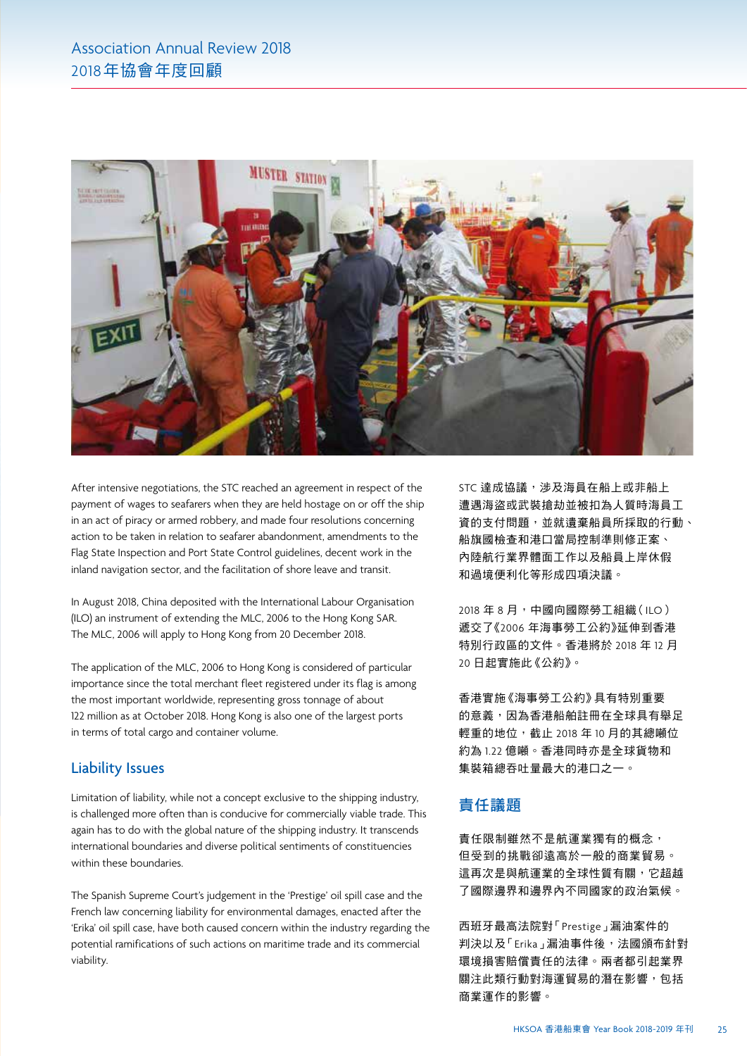

After intensive negotiations, the STC reached an agreement in respect of the payment of wages to seafarers when they are held hostage on or off the ship in an act of piracy or armed robbery, and made four resolutions concerning action to be taken in relation to seafarer abandonment, amendments to the Flag State Inspection and Port State Control guidelines, decent work in the inland navigation sector, and the facilitation of shore leave and transit.

In August 2018, China deposited with the International Labour Organisation (ILO) an instrument of extending the MLC, 2006 to the Hong Kong SAR. The MLC, 2006 will apply to Hong Kong from 20 December 2018.

The application of the MLC, 2006 to Hong Kong is considered of particular importance since the total merchant fleet registered under its flag is among the most important worldwide, representing gross tonnage of about 122 million as at October 2018. Hong Kong is also one of the largest ports in terms of total cargo and container volume.

### Liability Issues

Limitation of liability, while not a concept exclusive to the shipping industry, is challenged more often than is conducive for commercially viable trade. This again has to do with the global nature of the shipping industry. It transcends international boundaries and diverse political sentiments of constituencies within these boundaries.

The Spanish Supreme Court's judgement in the 'Prestige' oil spill case and the French law concerning liability for environmental damages, enacted after the 'Erika' oil spill case, have both caused concern within the industry regarding the potential ramifications of such actions on maritime trade and its commercial viability.

STC 達成協議,涉及海員在船上或非船上 遭遇海盜或武裝搶劫並被扣為人質時海員工 資的支付問題,並就遺棄船員所採取的行動、 船旗國檢查和港口當局控制準則修正案、 內陸航行業界體面工作以及船員上岸休假 和過境便利化等形成四項決議。

2018 年 8 月,中國向國際勞工組織(ILO) 遞交了《2006 年海事勞工公約》延伸到香港 特別行政區的文件。香港將於 2018 年 12 月 20 日起實施此《公約》。

香港實施《海事勞工公約》具有特別重要 的意義,因為香港船舶註冊在全球具有舉足 輕重的地位,截止 2018 年 10 月的其總噸位 約為 1.22 億噸。香港同時亦是全球貨物和 集裝箱總吞吐量最大的港口之一。

# 責任議題

責任限制雖然不是航運業獨有的概念, 但受到的挑戰卻遠高於一般的商業貿易。 這再次是與航運業的全球性質有關,它超越 了國際邊界和邊界內不同國家的政治氣候。

西班牙最高法院對「Prestige」漏油案件的 判決以及「Erika」漏油事件後,法國頒布針對 環境損害賠償責任的法律。兩者都引起業界 關注此類行動對海運貿易的潛在影響,包括 商業運作的影響。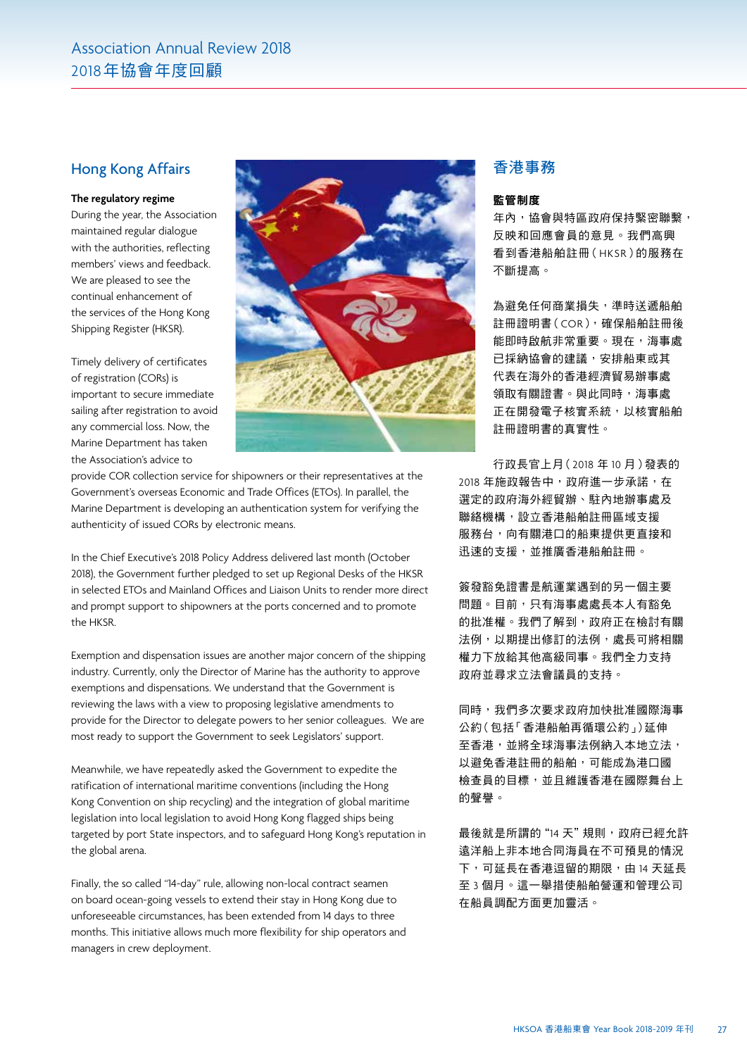### Hong Kong Affairs

### **The regulatory regime**

During the year, the Association maintained regular dialogue with the authorities, reflecting members' views and feedback. We are pleased to see the continual enhancement of the services of the Hong Kong Shipping Register (HKSR).

Timely delivery of certificates of registration (CORs) is important to secure immediate sailing after registration to avoid any commercial loss. Now, the Marine Department has taken the Association's advice to



provide COR collection service for shipowners or their representatives at the Government's overseas Economic and Trade Offices (ETOs). In parallel, the Marine Department is developing an authentication system for verifying the authenticity of issued CORs by electronic means.

In the Chief Executive's 2018 Policy Address delivered last month (October 2018), the Government further pledged to set up Regional Desks of the HKSR in selected ETOs and Mainland Offices and Liaison Units to render more direct and prompt support to shipowners at the ports concerned and to promote the HKSR.

Exemption and dispensation issues are another major concern of the shipping industry. Currently, only the Director of Marine has the authority to approve exemptions and dispensations. We understand that the Government is reviewing the laws with a view to proposing legislative amendments to provide for the Director to delegate powers to her senior colleagues. We are most ready to support the Government to seek Legislators' support.

Meanwhile, we have repeatedly asked the Government to expedite the ratification of international maritime conventions (including the Hong Kong Convention on ship recycling) and the integration of global maritime legislation into local legislation to avoid Hong Kong flagged ships being targeted by port State inspectors, and to safeguard Hong Kong's reputation in the global arena.

Finally, the so called "14-day" rule, allowing non-local contract seamen on board ocean-going vessels to extend their stay in Hong Kong due to unforeseeable circumstances, has been extended from 14 days to three months. This initiative allows much more flexibility for ship operators and managers in crew deployment.

## 香港事務

### 監管制度

年內,協會與特區政府保持緊密聯繫, 反映和回應會員的意見。我們高興 看到香港船舶註冊(HKSR)的服務在 不斷提高。

為避免任何商業損失,準時送遞船舶 註冊證明書(COR),確保船舶註冊後 能即時啟航非常重要。現在,海事處 已採納協會的建議,安排船東或其 代表在海外的香港經濟貿易辦事處 領取有關證書。與此同時,海事處 正在開發電子核實系統,以核實船舶 註冊證明書的真實性。

行政長官上月(2018 年 10 月)發表的 2018年施政報告中,政府進一步承諾,在 選定的政府海外經貿辦、駐內地辦事處及 聯絡機構,設立香港船舶註冊區域支援 服務台,向有關港口的船東提供更直接和 迅速的支援,並推廣香港船舶註冊。

簽發豁免證書是航運業遇到的另一個主要 問題。目前,只有海事處處長本人有豁免 的批准權。我們了解到,政府正在檢討有關 法例,以期提出修訂的法例,處長可將相關 權力下放給其他高級同事。我們全力支持 政府並尋求立法會議員的支持。

同時,我們多次要求政府加快批准國際海事 公約(包括「香港船舶再循環公約」)延伸 至香港,並將全球海事法例納入本地立法, 以避免香港註冊的船舶,可能成為港口國 檢查員的目標,並且維護香港在國際舞台上 的聲譽。

最後就是所謂的"14天"規則,政府已經允許 遠洋船上非本地合同海員在不可預見的情況 下,可延長在香港逗留的期限,由14天延長 至 3 個月。這一舉措使船舶營運和管理公司 在船員調配方面更加靈活。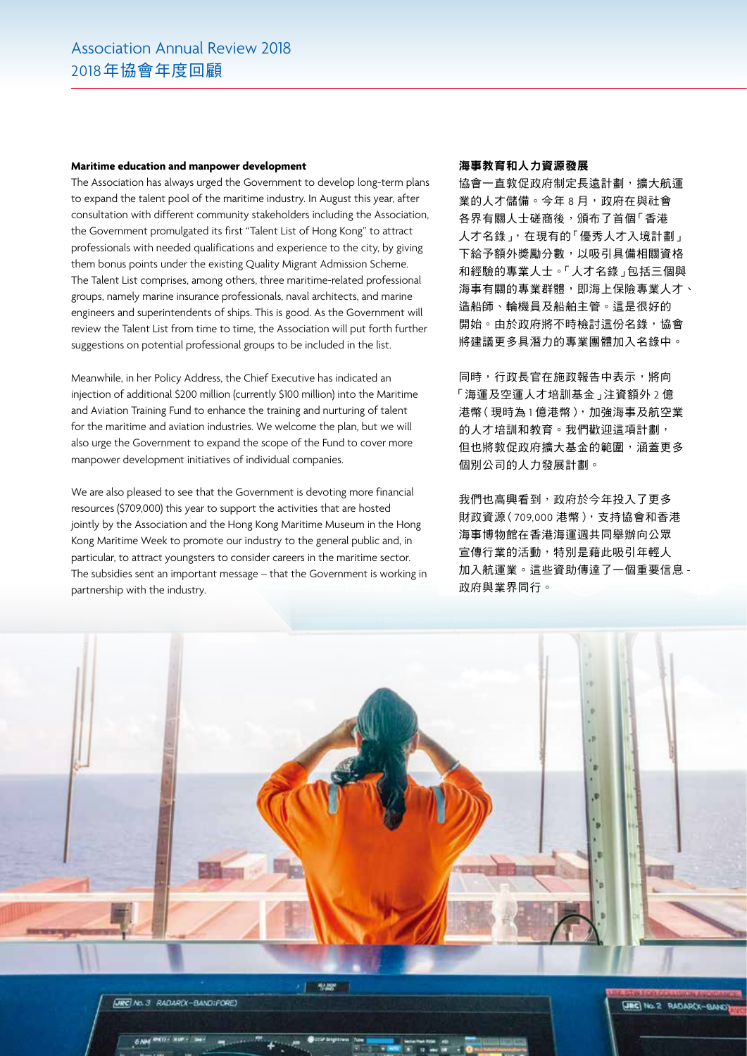#### **Maritime education and manpower development**

The Association has always urged the Government to develop long-term plans to expand the talent pool of the maritime industry. In August this year, after consultation with different community stakeholders including the Association, the Government promulgated its first "Talent List of Hong Kong" to attract professionals with needed qualifications and experience to the city, by giving them bonus points under the existing Quality Migrant Admission Scheme. The Talent List comprises, among others, three maritime-related professional groups, namely marine insurance professionals, naval architects, and marine engineers and superintendents of ships. This is good. As the Government will review the Talent List from time to time, the Association will put forth further suggestions on potential professional groups to be included in the list.

Meanwhile, in her Policy Address, the Chief Executive has indicated an injection of additional \$200 million (currently \$100 million) into the Maritime and Aviation Training Fund to enhance the training and nurturing of talent for the maritime and aviation industries. We welcome the plan, but we will also urge the Government to expand the scope of the Fund to cover more manpower development initiatives of individual companies.

We are also pleased to see that the Government is devoting more financial resources (\$709,000) this year to support the activities that are hosted jointly by the Association and the Hong Kong Maritime Museum in the Hong Kong Maritime Week to promote our industry to the general public and, in particular, to attract youngsters to consider careers in the maritime sector. The subsidies sent an important message – that the Government is working in partnership with the industry.

#### 海事教育和人力資源發展

協會一直敦促政府制定長遠計劃,擴大航運 業的人才儲備。今年 8 月,政府在與社會 各界有關人士磋商後,頒布了首個「香港 人才名錄」,在現有的「優秀人才入境計劃」 下給予額外獎勵分數,以吸引具備相關資格 和經驗的專業人士。「人才名錄」包括三個與 海事有關的專業群體,即海上保險專業人才、 造船師、輪機員及船舶主管。這是很好的 開始。由於政府將不時檢討這份名錄,協會 將建議更多具潛力的專業團體加入名錄中。

同時,行政長官在施政報告中表示,將向 「海運及空運人才培訓基金」注資額外 2 億 港幣(現時為 1 億港幣),加強海事及航空業 的人才培訓和教育。我們歡迎這項計劃, 但也將敦促政府擴大基金的範圍,涵蓋更多 個別公司的人力發展計劃。

我們也高興看到,政府於今年投入了更多 財政資源(709,000 港幣),支持協會和香港 海事博物館在香港海運週共同舉辦向公眾 宣傳行業的活動,特別是藉此吸引年輕人 加入航運業。這些資助傳達了一個重要信息 - 政府與業界同行。



**URC** No. 3 RADAR(X-BANDIFORE)

 $6$  NM  $P(0 - 1)$ 

**JBC** No. 2 RADAR(X-BAND)